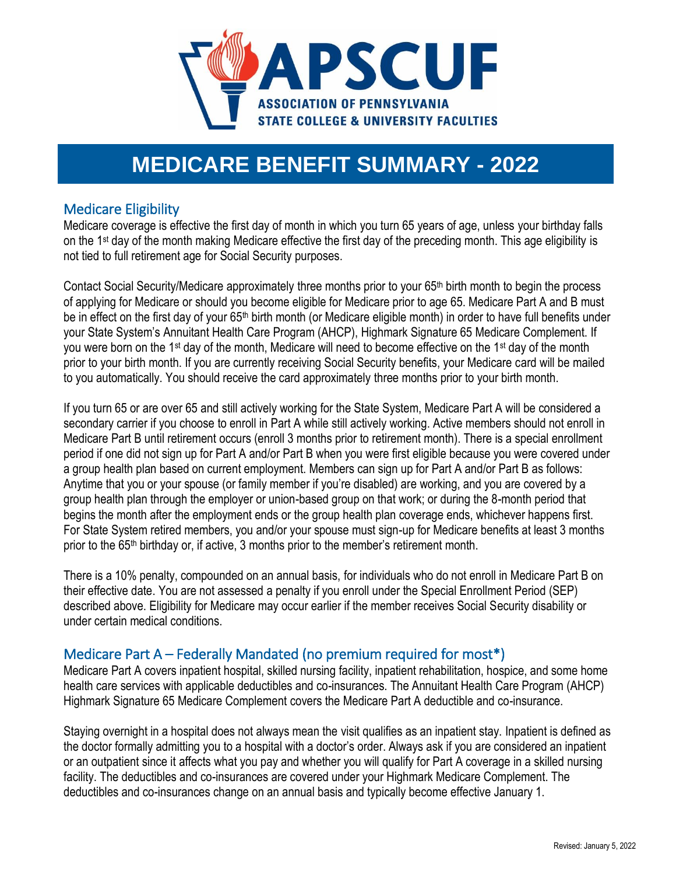

# **MEDICARE BENEFIT SUMMARY - 2022**

## Medicare Eligibility

Medicare coverage is effective the first day of month in which you turn 65 years of age, unless your birthday falls on the 1st day of the month making Medicare effective the first day of the preceding month. This age eligibility is not tied to full retirement age for Social Security purposes.

Contact Social Security/Medicare approximately three months prior to your 65th birth month to begin the process of applying for Medicare or should you become eligible for Medicare prior to age 65. Medicare Part A and B must be in effect on the first day of your 65<sup>th</sup> birth month (or Medicare eligible month) in order to have full benefits under your State System's Annuitant Health Care Program (AHCP), Highmark Signature 65 Medicare Complement. If you were born on the 1<sup>st</sup> day of the month, Medicare will need to become effective on the 1<sup>st</sup> day of the month prior to your birth month. If you are currently receiving Social Security benefits, your Medicare card will be mailed to you automatically. You should receive the card approximately three months prior to your birth month.

If you turn 65 or are over 65 and still actively working for the State System, Medicare Part A will be considered a secondary carrier if you choose to enroll in Part A while still actively working. Active members should not enroll in Medicare Part B until retirement occurs (enroll 3 months prior to retirement month). There is a special enrollment period if one did not sign up for Part A and/or Part B when you were first eligible because you were covered under a group health plan based on current employment. Members can sign up for Part A and/or Part B as follows: Anytime that you or your spouse (or family member if you're disabled) are working, and you are covered by a group health plan through the employer or union-based group on that work; or during the 8-month period that begins the month after the employment ends or the group health plan coverage ends, whichever happens first. For State System retired members, you and/or your spouse must sign-up for Medicare benefits at least 3 months prior to the 65th birthday or, if active, 3 months prior to the member's retirement month.

There is a 10% penalty, compounded on an annual basis, for individuals who do not enroll in Medicare Part B on their effective date. You are not assessed a penalty if you enroll under the Special Enrollment Period (SEP) described above. Eligibility for Medicare may occur earlier if the member receives Social Security disability or under certain medical conditions.

## Medicare Part A – Federally Mandated (no premium required for most\*)

Medicare Part A covers inpatient hospital, skilled nursing facility, inpatient rehabilitation, hospice, and some home health care services with applicable deductibles and co-insurances. The Annuitant Health Care Program (AHCP) Highmark Signature 65 Medicare Complement covers the Medicare Part A deductible and co-insurance.

Staying overnight in a hospital does not always mean the visit qualifies as an inpatient stay. Inpatient is defined as the doctor formally admitting you to a hospital with a doctor's order. Always ask if you are considered an inpatient or an outpatient since it affects what you pay and whether you will qualify for Part A coverage in a skilled nursing facility. The deductibles and co-insurances are covered under your Highmark Medicare Complement. The deductibles and co-insurances change on an annual basis and typically become effective January 1.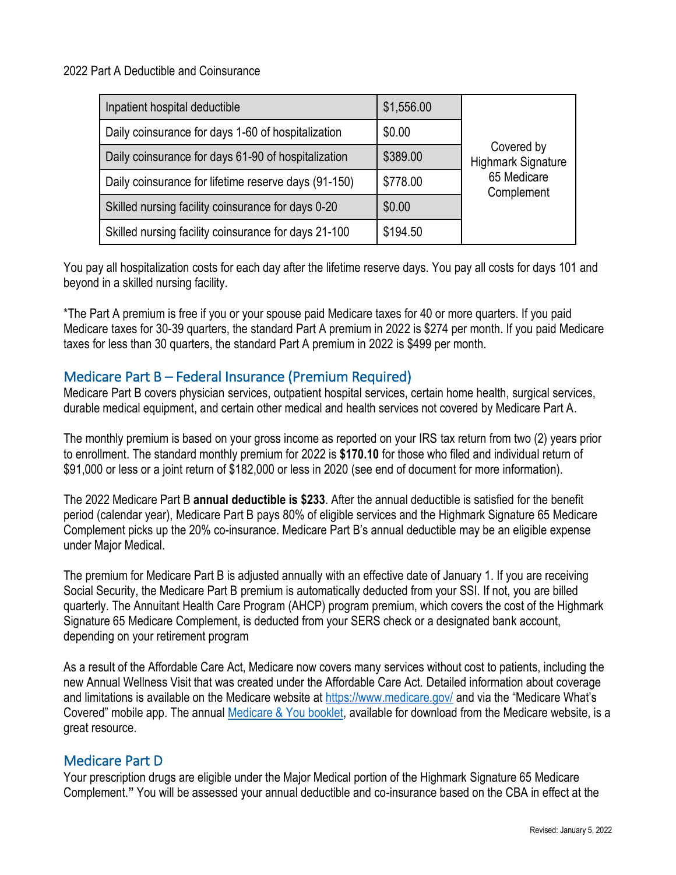2022 Part A Deductible and Coinsurance

| Inpatient hospital deductible                        | \$1,556.00 |                                         |
|------------------------------------------------------|------------|-----------------------------------------|
| Daily coinsurance for days 1-60 of hospitalization   | \$0.00     |                                         |
| Daily coinsurance for days 61-90 of hospitalization  | \$389.00   | Covered by<br><b>Highmark Signature</b> |
| Daily coinsurance for lifetime reserve days (91-150) | \$778.00   | 65 Medicare<br>Complement               |
| Skilled nursing facility coinsurance for days 0-20   | \$0.00     |                                         |
| Skilled nursing facility coinsurance for days 21-100 | \$194.50   |                                         |

You pay all hospitalization costs for each day after the lifetime reserve days. You pay all costs for days 101 and beyond in a skilled nursing facility.

\*The Part A premium is free if you or your spouse paid Medicare taxes for 40 or more quarters. If you paid Medicare taxes for 30-39 quarters, the standard Part A premium in 2022 is \$274 per month. If you paid Medicare taxes for less than 30 quarters, the standard Part A premium in 2022 is \$499 per month.

## Medicare Part B – Federal Insurance (Premium Required)

Medicare Part B covers physician services, outpatient hospital services, certain home health, surgical services, durable medical equipment, and certain other medical and health services not covered by Medicare Part A.

The monthly premium is based on your gross income as reported on your IRS tax return from two (2) years prior to enrollment. The standard monthly premium for 2022 is **\$170.10** for those who filed and individual return of \$91,000 or less or a joint return of \$182,000 or less in 2020 (see end of document for more information).

The 2022 Medicare Part B **annual deductible is \$233**. After the annual deductible is satisfied for the benefit period (calendar year), Medicare Part B pays 80% of eligible services and the Highmark Signature 65 Medicare Complement picks up the 20% co-insurance. Medicare Part B's annual deductible may be an eligible expense under Major Medical.

The premium for Medicare Part B is adjusted annually with an effective date of January 1. If you are receiving Social Security, the Medicare Part B premium is automatically deducted from your SSI. If not, you are billed quarterly. The Annuitant Health Care Program (AHCP) program premium, which covers the cost of the Highmark Signature 65 Medicare Complement, is deducted from your SERS check or a designated bank account, depending on your retirement program

As a result of the Affordable Care Act, Medicare now covers many services without cost to patients, including the new Annual Wellness Visit that was created under the Affordable Care Act. Detailed information about coverage and limitations is available on the Medicare website at<https://www.medicare.gov/> and via the "Medicare What's Covered" mobile app. The annual [Medicare & You booklet,](https://www.medicare.gov/Pubs/pdf/10050-Medicare-and-You.pdf) available for download from the Medicare website, is a great resource.

### Medicare Part D

Your prescription drugs are eligible under the Major Medical portion of the Highmark Signature 65 Medicare Complement.**"** You will be assessed your annual deductible and co-insurance based on the CBA in effect at the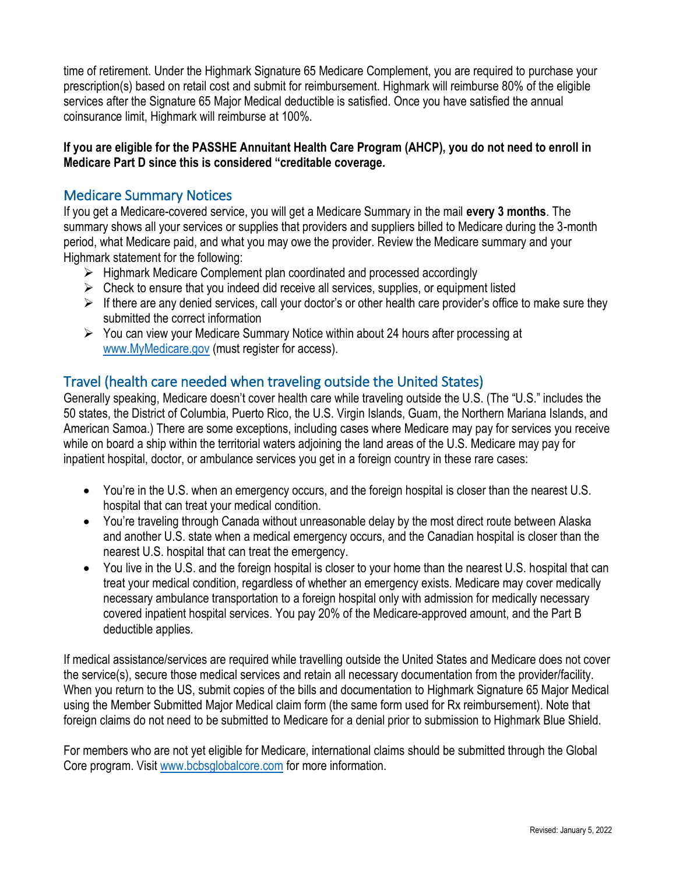time of retirement. Under the Highmark Signature 65 Medicare Complement, you are required to purchase your prescription(s) based on retail cost and submit for reimbursement. Highmark will reimburse 80% of the eligible services after the Signature 65 Major Medical deductible is satisfied. Once you have satisfied the annual coinsurance limit, Highmark will reimburse at 100%.

#### **If you are eligible for the PASSHE Annuitant Health Care Program (AHCP), you do not need to enroll in Medicare Part D since this is considered "creditable coverage.**

## Medicare Summary Notices

If you get a Medicare-covered service, you will get a Medicare Summary in the mail **every 3 months**. The summary shows all your services or supplies that providers and suppliers billed to Medicare during the 3-month period, what Medicare paid, and what you may owe the provider. Review the Medicare summary and your Highmark statement for the following:

- $\triangleright$  Highmark Medicare Complement plan coordinated and processed accordingly
- $\triangleright$  Check to ensure that you indeed did receive all services, supplies, or equipment listed
- $\triangleright$  If there are any denied services, call your doctor's or other health care provider's office to make sure they submitted the correct information
- $\triangleright$  You can view your Medicare Summary Notice within about 24 hours after processing at [www.MyMedicare.gov](http://www.mymedicare.gov/) (must register for access).

## Travel (health care needed when traveling outside the United States)

Generally speaking, Medicare doesn't cover health care while traveling outside the U.S. (The "U.S." includes the 50 states, the District of Columbia, Puerto Rico, the U.S. Virgin Islands, Guam, the Northern Mariana Islands, and American Samoa.) There are some exceptions, including cases where Medicare may pay for services you receive while on board a ship within the territorial waters adjoining the land areas of the U.S. Medicare may pay for inpatient hospital, doctor, or ambulance services you get in a foreign country in these rare cases:

- You're in the U.S. when an emergency occurs, and the foreign hospital is closer than the nearest U.S. hospital that can treat your medical condition.
- You're traveling through Canada without unreasonable delay by the most direct route between Alaska and another U.S. state when a medical emergency occurs, and the Canadian hospital is closer than the nearest U.S. hospital that can treat the emergency.
- You live in the U.S. and the foreign hospital is closer to your home than the nearest U.S. hospital that can treat your medical condition, regardless of whether an emergency exists. Medicare may cover medically necessary ambulance transportation to a foreign hospital only with admission for medically necessary covered inpatient hospital services. You pay 20% of the Medicare-approved amount, and the Part B deductible applies.

If medical assistance/services are required while travelling outside the United States and Medicare does not cover the service(s), secure those medical services and retain all necessary documentation from the provider/facility. When you return to the US, submit copies of the bills and documentation to Highmark Signature 65 Major Medical using the Member Submitted Major Medical claim form (the same form used for Rx reimbursement). Note that foreign claims do not need to be submitted to Medicare for a denial prior to submission to Highmark Blue Shield.

For members who are not yet eligible for Medicare, international claims should be submitted through the Global Core program. Visit [www.bcbsglobalcore.com](http://www.bcbsglobalcore.com/) for more information.